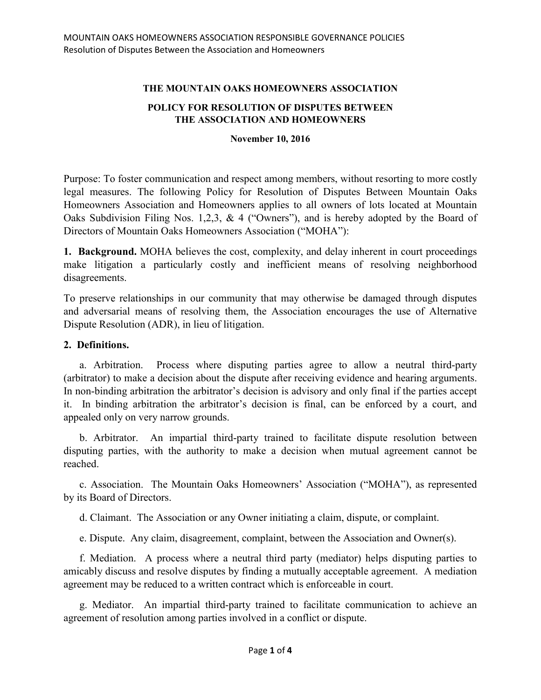## **THE MOUNTAIN OAKS HOMEOWNERS ASSOCIATION**

# **POLICY FOR RESOLUTION OF DISPUTES BETWEEN THE ASSOCIATION AND HOMEOWNERS**

#### **November 10, 2016**

Purpose: To foster communication and respect among members, without resorting to more costly legal measures. The following Policy for Resolution of Disputes Between Mountain Oaks Homeowners Association and Homeowners applies to all owners of lots located at Mountain Oaks Subdivision Filing Nos. 1,2,3, & 4 ("Owners"), and is hereby adopted by the Board of Directors of Mountain Oaks Homeowners Association ("MOHA"):

**1. Background.** MOHA believes the cost, complexity, and delay inherent in court proceedings make litigation a particularly costly and inefficient means of resolving neighborhood disagreements.

To preserve relationships in our community that may otherwise be damaged through disputes and adversarial means of resolving them, the Association encourages the use of Alternative Dispute Resolution (ADR), in lieu of litigation.

# **2. Definitions.**

a. Arbitration. Process where disputing parties agree to allow a neutral third-party (arbitrator) to make a decision about the dispute after receiving evidence and hearing arguments. In non-binding arbitration the arbitrator's decision is advisory and only final if the parties accept it. In binding arbitration the arbitrator's decision is final, can be enforced by a court, and appealed only on very narrow grounds.

b. Arbitrator. An impartial third-party trained to facilitate dispute resolution between disputing parties, with the authority to make a decision when mutual agreement cannot be reached.

c. Association. The Mountain Oaks Homeowners' Association ("MOHA"), as represented by its Board of Directors.

d. Claimant. The Association or any Owner initiating a claim, dispute, or complaint.

e. Dispute. Any claim, disagreement, complaint, between the Association and Owner(s).

f. Mediation. A process where a neutral third party (mediator) helps disputing parties to amicably discuss and resolve disputes by finding a mutually acceptable agreement. A mediation agreement may be reduced to a written contract which is enforceable in court.

g. Mediator. An impartial third-party trained to facilitate communication to achieve an agreement of resolution among parties involved in a conflict or dispute.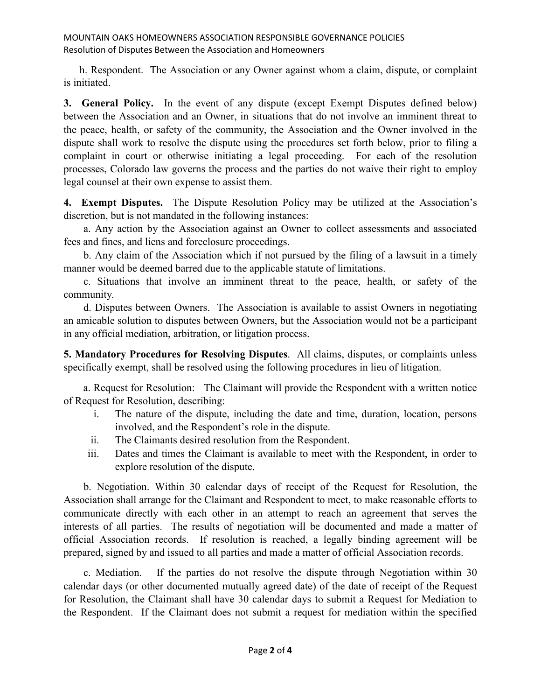## MOUNTAIN OAKS HOMEOWNERS ASSOCIATION RESPONSIBLE GOVERNANCE POLICIES Resolution of Disputes Between the Association and Homeowners

h. Respondent. The Association or any Owner against whom a claim, dispute, or complaint is initiated.

**3. General Policy.** In the event of any dispute (except Exempt Disputes defined below) between the Association and an Owner, in situations that do not involve an imminent threat to the peace, health, or safety of the community, the Association and the Owner involved in the dispute shall work to resolve the dispute using the procedures set forth below, prior to filing a complaint in court or otherwise initiating a legal proceeding. For each of the resolution processes, Colorado law governs the process and the parties do not waive their right to employ legal counsel at their own expense to assist them.

**4. Exempt Disputes.** The Dispute Resolution Policy may be utilized at the Association's discretion, but is not mandated in the following instances:

a. Any action by the Association against an Owner to collect assessments and associated fees and fines, and liens and foreclosure proceedings.

b. Any claim of the Association which if not pursued by the filing of a lawsuit in a timely manner would be deemed barred due to the applicable statute of limitations.

c. Situations that involve an imminent threat to the peace, health, or safety of the community*.* 

d. Disputes between Owners. The Association is available to assist Owners in negotiating an amicable solution to disputes between Owners, but the Association would not be a participant in any official mediation, arbitration, or litigation process.

**5. Mandatory Procedures for Resolving Disputes**. All claims, disputes, or complaints unless specifically exempt, shall be resolved using the following procedures in lieu of litigation.

a. Request for Resolution: The Claimant will provide the Respondent with a written notice of Request for Resolution, describing:

- i. The nature of the dispute, including the date and time, duration, location, persons involved, and the Respondent's role in the dispute.
- ii. The Claimants desired resolution from the Respondent.
- iii. Dates and times the Claimant is available to meet with the Respondent, in order to explore resolution of the dispute.

b. Negotiation. Within 30 calendar days of receipt of the Request for Resolution, the Association shall arrange for the Claimant and Respondent to meet, to make reasonable efforts to communicate directly with each other in an attempt to reach an agreement that serves the interests of all parties. The results of negotiation will be documented and made a matter of official Association records. If resolution is reached, a legally binding agreement will be prepared, signed by and issued to all parties and made a matter of official Association records.

c. Mediation. If the parties do not resolve the dispute through Negotiation within 30 calendar days (or other documented mutually agreed date) of the date of receipt of the Request for Resolution, the Claimant shall have 30 calendar days to submit a Request for Mediation to the Respondent. If the Claimant does not submit a request for mediation within the specified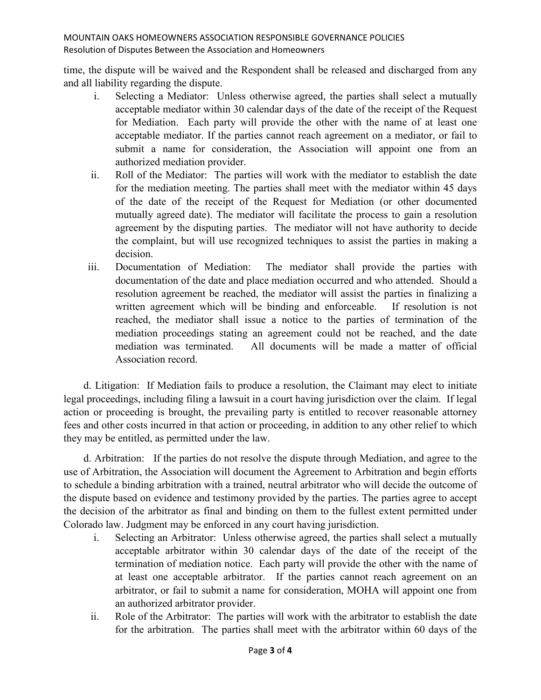MOUNTAIN OAKS HOMEOWNERS ASSOCIATION RESPONSIBLE GOVERNANCE POLICIES Resolution of Disputes Between the Association and Homeowners

time, the dispute will be waived and the Respondent shall be released and discharged from any and all liability regarding the dispute.

- i. Selecting a Mediator: Unless otherwise agreed, the parties shall select a mutually acceptable mediator within 30 calendar days of the date of the receipt of the Request for Mediation. Each party will provide the other with the name of at least one acceptable mediator. If the parties cannot reach agreement on a mediator, or fail to submit a name for consideration, the Association will appoint one from an authorized mediation provider.
- ii. Roll of the Mediator: The parties will work with the mediator to establish the date for the mediation meeting. The parties shall meet with the mediator within 45 days of the date of the receipt of the Request for Mediation (or other documented mutually agreed date). The mediator will facilitate the process to gain a resolution agreement by the disputing parties. The mediator will not have authority to decide the complaint, but will use recognized techniques to assist the parties in making a decision.
- iii. Documentation of Mediation: The mediator shall provide the parties with documentation of the date and place mediation occurred and who attended. Should a resolution agreement be reached, the mediator will assist the parties in finalizing a written agreement which will be binding and enforceable. If resolution is not reached, the mediator shall issue a notice to the parties of termination of the mediation proceedings stating an agreement could not be reached, and the date mediation was terminated. All documents will be made a matter of official Association record.

d. Litigation: If Mediation fails to produce a resolution, the Claimant may elect to initiate legal proceedings, including filing a lawsuit in a court having jurisdiction over the claim. If legal action or proceeding is brought, the prevailing party is entitled to recover reasonable attorney fees and other costs incurred in that action or proceeding, in addition to any other relief to which they may be entitled, as permitted under the law.

d. Arbitration: If the parties do not resolve the dispute through Mediation, and agree to the use of Arbitration, the Association will document the Agreement to Arbitration and begin efforts to schedule a binding arbitration with a trained, neutral arbitrator who will decide the outcome of the dispute based on evidence and testimony provided by the parties. The parties agree to accept the decision of the arbitrator as final and binding on them to the fullest extent permitted under Colorado law. Judgment may be enforced in any court having jurisdiction.

- i. Selecting an Arbitrator: Unless otherwise agreed, the parties shall select a mutually acceptable arbitrator within 30 calendar days of the date of the receipt of the termination of mediation notice. Each party will provide the other with the name of at least one acceptable arbitrator. If the parties cannot reach agreement on an arbitrator, or fail to submit a name for consideration, MOHA will appoint one from an authorized arbitrator provider.
- ii. Role of the Arbitrator: The parties will work with the arbitrator to establish the date for the arbitration. The parties shall meet with the arbitrator within 60 days of the